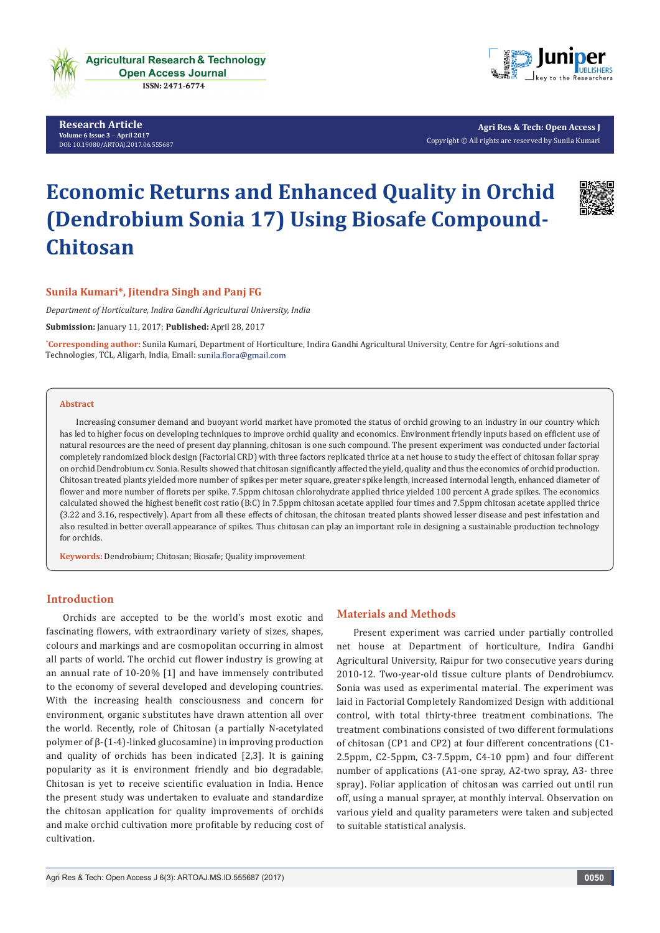

**Research Article Volume 6 Issue 3** - **April 2017** [DOI:](http://dx.doi.org/10.19080/artoaj.2016.02.555590
) [10.19080/ARTOAJ.2017.06.555687](http://dx.doi.org/10.19080/artoaj.2017.06.555687)



**Agri Res & Tech: Open Access J** Copyright © All rights are reserved by Sunila Kumari

# **Economic Returns and Enhanced Quality in Orchid (Dendrobium Sonia 17) Using Biosafe Compound-Chitosan**



# **Sunila Kumari\*, Jitendra Singh and Panj FG**

*Department of Horticulture, Indira Gandhi Agricultural University, India*

**Submission:** January 11, 2017; **Published:** April 28, 2017

**\* Corresponding author:** Sunila Kumari, Department of Horticulture, Indira Gandhi Agricultural University, Centre for Agri-solutions and Technologies, TCL, Aligarh, India, Email:

#### **Abstract**

Increasing consumer demand and buoyant world market have promoted the status of orchid growing to an industry in our country which has led to higher focus on developing techniques to improve orchid quality and economics. Environment friendly inputs based on efficient use of natural resources are the need of present day planning, chitosan is one such compound. The present experiment was conducted under factorial completely randomized block design (Factorial CRD) with three factors replicated thrice at a net house to study the effect of chitosan foliar spray on orchid Dendrobium cv. Sonia. Results showed that chitosan significantly affected the yield, quality and thus the economics of orchid production. Chitosan treated plants yielded more number of spikes per meter square, greater spike length, increased internodal length, enhanced diameter of flower and more number of florets per spike. 7.5ppm chitosan chlorohydrate applied thrice yielded 100 percent A grade spikes. The economics calculated showed the highest benefit cost ratio (B:C) in 7.5ppm chitosan acetate applied four times and 7.5ppm chitosan acetate applied thrice (3.22 and 3.16, respectively). Apart from all these effects of chitosan, the chitosan treated plants showed lesser disease and pest infestation and also resulted in better overall appearance of spikes. Thus chitosan can play an important role in designing a sustainable production technology for orchids.

**Keywords:** Dendrobium; Chitosan; Biosafe; Quality improvement

# **Introduction**

Orchids are accepted to be the world's most exotic and fascinating flowers, with extraordinary variety of sizes, shapes, colours and markings and are cosmopolitan occurring in almost all parts of world. The orchid cut flower industry is growing at an annual rate of 10-20% [1] and have immensely contributed to the economy of several developed and developing countries. With the increasing health consciousness and concern for environment, organic substitutes have drawn attention all over the world. Recently, role of Chitosan (a partially N-acetylated polymer of β-(1-4)-linked glucosamine) in improving production and quality of orchids has been indicated [2,3]. It is gaining popularity as it is environment friendly and bio degradable. Chitosan is yet to receive scientific evaluation in India. Hence the present study was undertaken to evaluate and standardize the chitosan application for quality improvements of orchids and make orchid cultivation more profitable by reducing cost of cultivation.

# **Materials and Methods**

Present experiment was carried under partially controlled net house at Department of horticulture, Indira Gandhi Agricultural University, Raipur for two consecutive years during 2010-12. Two-year-old tissue culture plants of Dendrobiumcv. Sonia was used as experimental material. The experiment was laid in Factorial Completely Randomized Design with additional control, with total thirty-three treatment combinations. The treatment combinations consisted of two different formulations of chitosan (CP1 and CP2) at four different concentrations (C1- 2.5ppm, C2-5ppm, C3-7.5ppm, C4-10 ppm) and four different number of applications (A1-one spray, A2-two spray, A3- three spray). Foliar application of chitosan was carried out until run off, using a manual sprayer, at monthly interval. Observation on various yield and quality parameters were taken and subjected to suitable statistical analysis.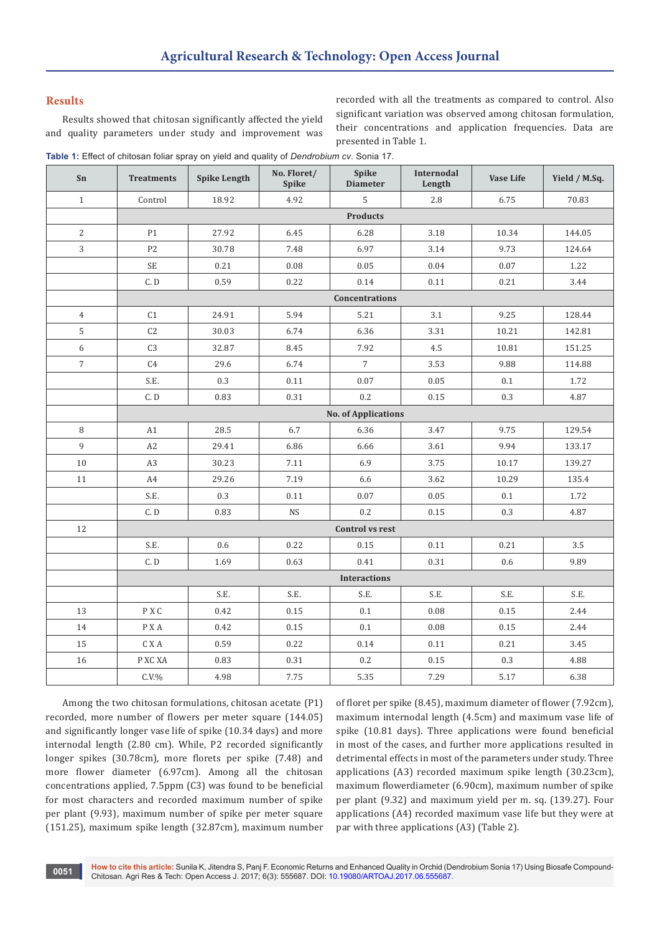## **Results**

Results showed that chitosan significantly affected the yield and quality parameters under study and improvement was recorded with all the treatments as compared to control. Also significant variation was observed among chitosan formulation, their concentrations and application frequencies. Data are presented in Table 1.

**Table 1:** Effect of chitosan foliar spray on yield and quality of *Dendrobium cv*. Sonia 17.

| Sn              | <b>Treatments</b>   | <b>Spike Length</b> | No. Floret/<br>Spike | Spike<br><b>Diameter</b>   | Internodal<br>Length | <b>Vase Life</b> | Yield / M.Sq. |  |
|-----------------|---------------------|---------------------|----------------------|----------------------------|----------------------|------------------|---------------|--|
| $\mathbf{1}$    | Control             | 18.92               | 4.92                 | 5                          | 2.8                  | 6.75             | 70.83         |  |
|                 | <b>Products</b>     |                     |                      |                            |                      |                  |               |  |
| 2               | P1                  | 27.92               | 6.45                 | 6.28                       | 3.18                 | 10.34            | 144.05        |  |
| $\mathbf{3}$    | $\mathbf{P2}$       | 30.78               | 7.48                 | 6.97                       | 3.14                 | 9.73             | 124.64        |  |
|                 | <b>SE</b>           | 0.21                | 0.08                 | 0.05                       | 0.04                 | 0.07             | 1.22          |  |
|                 | C.D                 | 0.59                | 0.22                 | 0.14                       | 0.11                 | 0.21             | 3.44          |  |
|                 |                     |                     |                      | Concentrations             |                      |                  |               |  |
| $\overline{4}$  | C <sub>1</sub>      | 24.91               | 5.94                 | 5.21                       | 3.1                  | 9.25             | 128.44        |  |
| $5\phantom{.0}$ | C2                  | 30.03               | 6.74                 | 6.36                       | 3.31                 | 10.21            | 142.81        |  |
| 6               | C <sub>3</sub>      | 32.87               | 8.45                 | 7.92                       | 4.5                  | 10.81            | 151.25        |  |
| $\overline{7}$  | C <sub>4</sub>      | 29.6                | 6.74                 | $\overline{7}$             | 3.53                 | 9.88             | 114.88        |  |
|                 | S.E.                | 0.3                 | 0.11                 | 0.07                       | 0.05                 | 0.1              | 1.72          |  |
|                 | C. D                | 0.83                | 0.31                 | 0.2                        | 0.15                 | 0.3              | 4.87          |  |
|                 |                     |                     |                      | <b>No. of Applications</b> |                      |                  |               |  |
| 8               | A1                  | 28.5                | 6.7                  | 6.36                       | 3.47                 | 9.75             | 129.54        |  |
| 9               | A2                  | 29.41               | 6.86                 | 6.66                       | 3.61                 | 9.94             | 133.17        |  |
| $10\,$          | A <sub>3</sub>      | 30.23               | 7.11                 | 6.9                        | 3.75                 | 10.17            | 139.27        |  |
| 11              | A4                  | 29.26               | 7.19                 | 6.6                        | 3.62                 | 10.29            | 135.4         |  |
|                 | S.E.                | 0.3                 | 0.11                 | 0.07                       | $0.05\,$             | 0.1              | 1.72          |  |
|                 | C.D                 | 0.83                | <b>NS</b>            | 0.2                        | 0.15                 | 0.3              | 4.87          |  |
| 12              |                     |                     |                      | <b>Control vs rest</b>     |                      |                  |               |  |
|                 | S.E.                | 0.6                 | 0.22                 | 0.15                       | 0.11                 | 0.21             | 3.5           |  |
|                 | C. D                | 1.69                | 0.63                 | 0.41                       | 0.31                 | 0.6              | 9.89          |  |
|                 | <b>Interactions</b> |                     |                      |                            |                      |                  |               |  |
|                 |                     | S.E.                | S.E.                 | S.E.                       | S.E.                 | S.E.             | S.E.          |  |
| 13              | P X C               | 0.42                | $0.15\,$             | 0.1                        | $0.08\,$             | $0.15\,$         | 2.44          |  |
| 14              | P X A               | 0.42                | 0.15                 | 0.1                        | $0.08\,$             | $0.15\,$         | 2.44          |  |
| 15              | $\mbox{C}$ X A      | 0.59                | 0.22                 | $0.14\,$                   | 0.11                 | 0.21             | 3.45          |  |
| $16\,$          | P XC XA             | 0.83                | 0.31                 | $0.2\,$                    | 0.15                 | $0.3\,$          | 4.88          |  |
|                 | $C.V.$ %            | 4.98                | 7.75                 | 5.35                       | 7.29                 | 5.17             | 6.38          |  |

Among the two chitosan formulations, chitosan acetate (P1) recorded, more number of flowers per meter square (144.05) and significantly longer vase life of spike (10.34 days) and more internodal length (2.80 cm). While, P2 recorded significantly longer spikes (30.78cm), more florets per spike (7.48) and more flower diameter (6.97cm). Among all the chitosan concentrations applied, 7.5ppm (C3) was found to be beneficial for most characters and recorded maximum number of spike per plant (9.93), maximum number of spike per meter square (151.25), maximum spike length (32.87cm), maximum number

of floret per spike (8.45), maximum diameter of flower (7.92cm), maximum internodal length (4.5cm) and maximum vase life of spike (10.81 days). Three applications were found beneficial in most of the cases, and further more applications resulted in detrimental effects in most of the parameters under study. Three applications (A3) recorded maximum spike length (30.23cm), maximum flowerdiameter (6.90cm), maximum number of spike per plant (9.32) and maximum yield per m. sq. (139.27). Four applications (A4) recorded maximum vase life but they were at par with three applications (A3) (Table 2).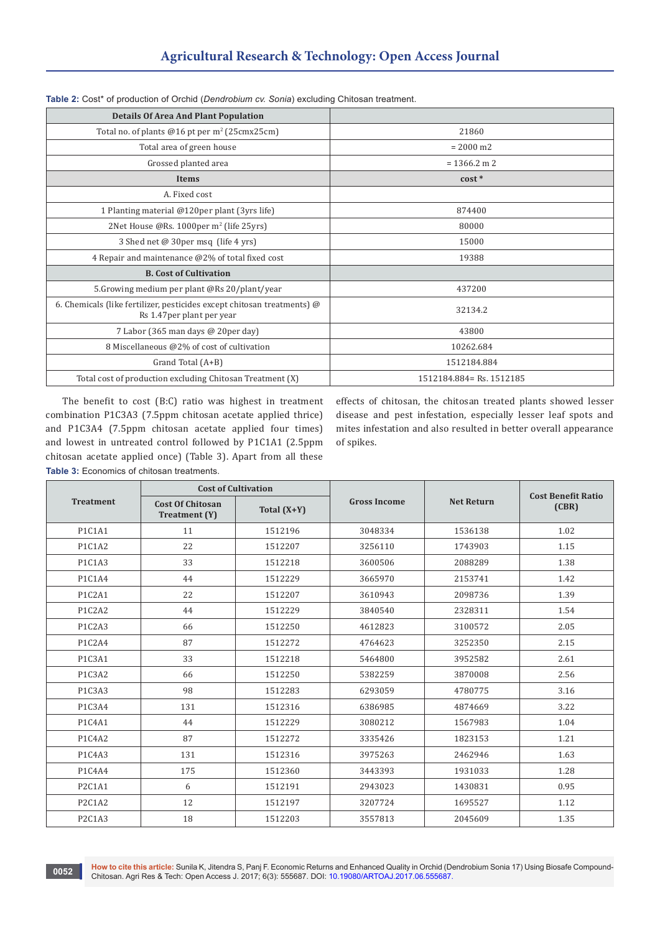| <b>Details Of Area And Plant Population</b>                                                                  |                          |
|--------------------------------------------------------------------------------------------------------------|--------------------------|
| Total no. of plants @16 pt per m <sup>2</sup> (25cmx25cm)                                                    | 21860                    |
| Total area of green house                                                                                    | $= 2000$ m2              |
| Grossed planted area                                                                                         | $= 1366.2$ m 2           |
| <b>Items</b>                                                                                                 | $cost *$                 |
| A. Fixed cost                                                                                                |                          |
| 1 Planting material @120per plant (3yrs life)                                                                | 874400                   |
| 2Net House @Rs. 1000per m <sup>2</sup> (life 25yrs)                                                          | 80000                    |
| 3 Shed net @ 30per msq (life 4 yrs)                                                                          | 15000                    |
| 4 Repair and maintenance @2% of total fixed cost                                                             | 19388                    |
| <b>B. Cost of Cultivation</b>                                                                                |                          |
| 5. Growing medium per plant @Rs 20/plant/year                                                                | 437200                   |
| 6. Chemicals (like fertilizer, pesticides except chitosan treatments) $\omega$<br>Rs 1.47 per plant per year | 32134.2                  |
| 7 Labor (365 man days @ 20per day)                                                                           | 43800                    |
| 8 Miscellaneous @2% of cost of cultivation                                                                   | 10262.684                |
| Grand Total (A+B)                                                                                            | 1512184.884              |
| Total cost of production excluding Chitosan Treatment (X)                                                    | 1512184.884= Rs. 1512185 |

|  |  | Table 2: Cost* of production of Orchid (Dendrobium cv. Sonia) excluding Chitosan treatment. |  |  |
|--|--|---------------------------------------------------------------------------------------------|--|--|
|  |  |                                                                                             |  |  |

The benefit to cost (B:C) ratio was highest in treatment combination P1C3A3 (7.5ppm chitosan acetate applied thrice) and P1C3A4 (7.5ppm chitosan acetate applied four times) and lowest in untreated control followed by P1C1A1 (2.5ppm chitosan acetate applied once) (Table 3). Apart from all these **Table 3:** Economics of chitosan treatments.

effects of chitosan, the chitosan treated plants showed lesser disease and pest infestation, especially lesser leaf spots and mites infestation and also resulted in better overall appearance of spikes.

|                  | <b>Cost of Cultivation</b>               |               |                     |                   | <b>Cost Benefit Ratio</b><br>(CBR) |  |
|------------------|------------------------------------------|---------------|---------------------|-------------------|------------------------------------|--|
| <b>Treatment</b> | <b>Cost Of Chitosan</b><br>Treatment (Y) | Total $(X+Y)$ | <b>Gross Income</b> | <b>Net Return</b> |                                    |  |
| P1C1A1           | 11                                       | 1512196       | 3048334             | 1536138           | 1.02                               |  |
| P1C1A2           | 22                                       | 1512207       | 3256110             | 1743903           | 1.15                               |  |
| P1C1A3           | 33                                       | 1512218       | 3600506             | 2088289           | 1.38                               |  |
| P1C1A4           | 44                                       | 1512229       | 3665970             | 2153741           | 1.42                               |  |
| P1C2A1           | 22                                       | 1512207       | 3610943             | 2098736           | 1.39                               |  |
| P1C2A2           | 44                                       | 1512229       | 3840540             | 2328311           | 1.54                               |  |
| P1C2A3           | 66                                       | 1512250       | 4612823             | 3100572           | 2.05                               |  |
| P1C2A4           | 87                                       | 1512272       | 4764623             | 3252350           | 2.15                               |  |
| P1C3A1           | 33                                       | 1512218       | 5464800             | 3952582           | 2.61                               |  |
| P1C3A2           | 66                                       | 1512250       | 5382259             | 3870008           | 2.56                               |  |
| P1C3A3           | 98                                       | 1512283       | 6293059             | 4780775           | 3.16                               |  |
| P1C3A4           | 131                                      | 1512316       | 6386985             | 4874669           | 3.22                               |  |
| P1C4A1           | 44                                       | 1512229       | 3080212             | 1567983           | 1.04                               |  |
| P1C4A2           | 87                                       | 1512272       | 3335426             | 1823153           | 1.21                               |  |
| P1C4A3           | 131                                      | 1512316       | 3975263             | 2462946           | 1.63                               |  |
| P1C4A4           | 175                                      | 1512360       | 3443393             | 1931033           | 1.28                               |  |
| P2C1A1           | 6                                        | 1512191       | 2943023             | 1430831           | 0.95                               |  |
| P2C1A2           | 12                                       | 1512197       | 3207724             | 1695527           | 1.12                               |  |
| P2C1A3           | 18                                       | 1512203       | 3557813             | 2045609           | 1.35                               |  |

**How to cite this article:** Sunila K, Jitendra S, Panj F. Economic Returns and Enhanced Quality in Orchid (Dendrobium Sonia 17) Using Biosafe Compound-Chitosan. Agri Res & Tech: Open Access J. 2017; 6(3): 555687. DOI: [10.19080/ARTOAJ.2017.06.555687](http://dx.doi.org/10.19080/artoaj.2017.06.555687). **<sup>0052</sup>**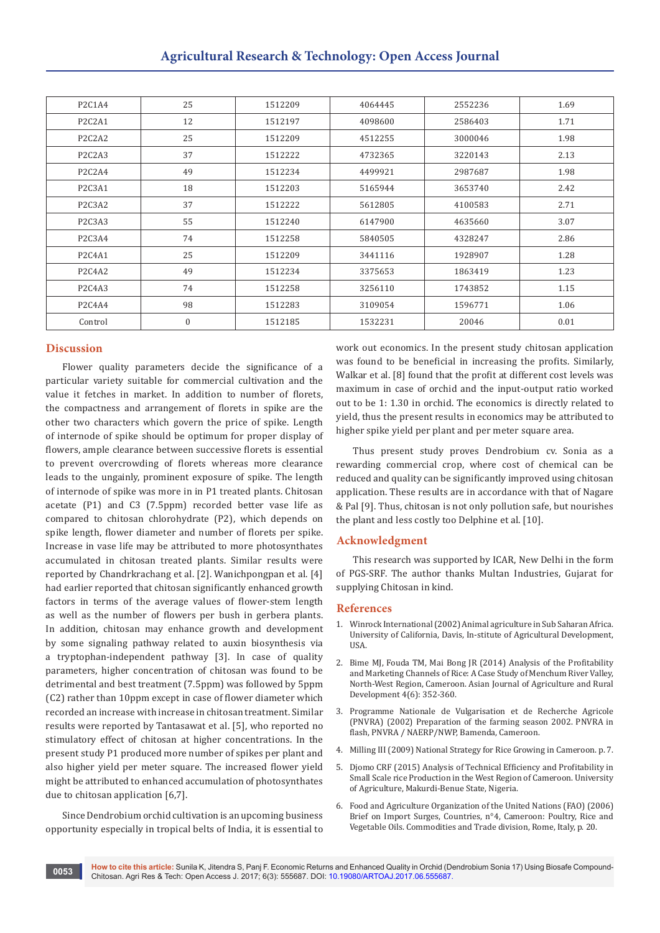| P2C1A4                                       | 25               | 1512209 | 4064445 | 2552236 | 1.69 |
|----------------------------------------------|------------------|---------|---------|---------|------|
| P <sub>2</sub> C <sub>2</sub> A <sub>1</sub> | 12               | 1512197 | 4098600 | 2586403 | 1.71 |
| P <sub>2</sub> C <sub>2</sub> A <sub>2</sub> | 25               | 1512209 | 4512255 | 3000046 | 1.98 |
| P <sub>2</sub> C <sub>2</sub> A <sub>3</sub> | 37               | 1512222 | 4732365 | 3220143 | 2.13 |
| P <sub>2</sub> C <sub>2</sub> A <sub>4</sub> | 49               | 1512234 | 4499921 | 2987687 | 1.98 |
| P <sub>2</sub> C <sub>3</sub> A <sub>1</sub> | 18               | 1512203 | 5165944 | 3653740 | 2.42 |
| P <sub>2</sub> C <sub>3</sub> A <sub>2</sub> | 37               | 1512222 | 5612805 | 4100583 | 2.71 |
| P2C3A3                                       | 55               | 1512240 | 6147900 | 4635660 | 3.07 |
| P2C3A4                                       | 74               | 1512258 | 5840505 | 4328247 | 2.86 |
| P2C4A1                                       | 25               | 1512209 | 3441116 | 1928907 | 1.28 |
| P <sub>2</sub> C <sub>4</sub> A <sub>2</sub> | 49               | 1512234 | 3375653 | 1863419 | 1.23 |
| P <sub>2</sub> C <sub>4</sub> A <sub>3</sub> | 74               | 1512258 | 3256110 | 1743852 | 1.15 |
| P <sub>2</sub> C <sub>4</sub> A <sub>4</sub> | 98               | 1512283 | 3109054 | 1596771 | 1.06 |
| Control                                      | $\boldsymbol{0}$ | 1512185 | 1532231 | 20046   | 0.01 |

## **Discussion**

Flower quality parameters decide the significance of a particular variety suitable for commercial cultivation and the value it fetches in market. In addition to number of florets, the compactness and arrangement of florets in spike are the other two characters which govern the price of spike. Length of internode of spike should be optimum for proper display of flowers, ample clearance between successive florets is essential to prevent overcrowding of florets whereas more clearance leads to the ungainly, prominent exposure of spike. The length of internode of spike was more in in P1 treated plants. Chitosan acetate (P1) and C3 (7.5ppm) recorded better vase life as compared to chitosan chlorohydrate (P2), which depends on spike length, flower diameter and number of florets per spike. Increase in vase life may be attributed to more photosynthates accumulated in chitosan treated plants. Similar results were reported by Chandrkrachang et al. [2]. Wanichpongpan et al. [4] had earlier reported that chitosan significantly enhanced growth factors in terms of the average values of flower-stem length as well as the number of flowers per bush in gerbera plants. In addition, chitosan may enhance growth and development by some signaling pathway related to auxin biosynthesis via a tryptophan-independent pathway [3]. In case of quality parameters, higher concentration of chitosan was found to be detrimental and best treatment (7.5ppm) was followed by 5ppm (C2) rather than 10ppm except in case of flower diameter which recorded an increase with increase in chitosan treatment. Similar results were reported by Tantasawat et al. [5], who reported no stimulatory effect of chitosan at higher concentrations. In the present study P1 produced more number of spikes per plant and also higher yield per meter square. The increased flower yield might be attributed to enhanced accumulation of photosynthates due to chitosan application [6,7].

Since Dendrobium orchid cultivation is an upcoming business opportunity especially in tropical belts of India, it is essential to

work out economics. In the present study chitosan application was found to be beneficial in increasing the profits. Similarly, Walkar et al. [8] found that the profit at different cost levels was maximum in case of orchid and the input-output ratio worked out to be 1: 1.30 in orchid. The economics is directly related to yield, thus the present results in economics may be attributed to higher spike yield per plant and per meter square area.

Thus present study proves Dendrobium cv. Sonia as a rewarding commercial crop, where cost of chemical can be reduced and quality can be significantly improved using chitosan application. These results are in accordance with that of Nagare & Pal [9]. Thus, chitosan is not only pollution safe, but nourishes the plant and less costly too Delphine et al. [10].

### **Acknowledgment**

This research was supported by ICAR, New Delhi in the form of PGS-SRF. The author thanks Multan Industries, Gujarat for supplying Chitosan in kind.

#### **References**

- 1. Winrock International (2002) Animal agriculture in Sub Saharan Africa. University of California, Davis, In-stitute of Agricultural Development, **IISA**
- 2. [Bime MJ, Fouda TM, Mai Bong JR \(2014\) Analysis of the Profitability](http://ageconsearch.tind.io/record/198416)  [and Marketing Channels of Rice: A Case Study of Menchum River Valley,](http://ageconsearch.tind.io/record/198416)  [North-West Region, Cameroon. Asian Journal of Agriculture and Rural](http://ageconsearch.tind.io/record/198416)  [Development 4\(6\): 352-360.](http://ageconsearch.tind.io/record/198416)
- 3. Programme Nationale de Vulgarisation et de Recherche Agricole (PNVRA) (2002) Preparation of the farming season 2002. PNVRA in flash, PNVRA / NAERP/NWP, Bamenda, Cameroon.
- 4. Milling III (2009) National Strategy for Rice Growing in Cameroon. p. 7.
- 5. Djomo CRF (2015) Analysis of Technical Efficiency and Profitability in Small Scale rice Production in the West Region of Cameroon. University of Agriculture, Makurdi-Benue State, Nigeria.
- 6. Food and Agriculture Organization of the United Nations (FAO) (2006) Brief on Import Surges, Countries, n°4, Cameroon: Poultry, Rice and Vegetable Oils. Commodities and Trade division, Rome, Italy, p. 20.